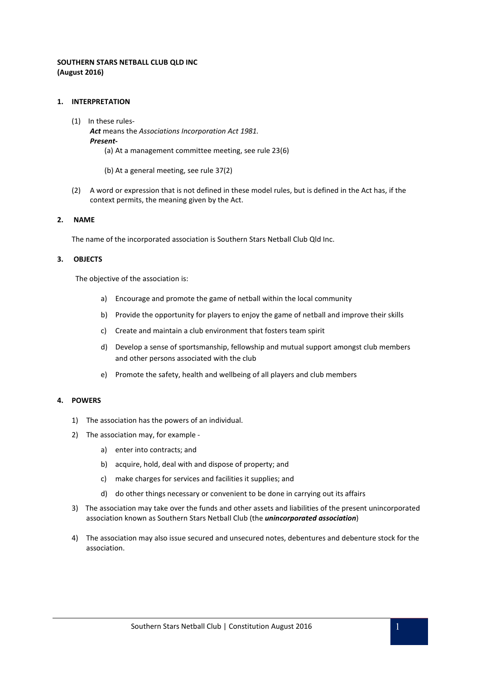# **SOUTHERN STARS NETBALL CLUB QLD INC (August 2016)**

### **1. INTERPRETATION**

- (1) In these rules-*Act* means the *Associations Incorporation Act 1981. Present-* (a) At a management committee meeting, see rule 23(6)
	- (b) At a general meeting, see rule 37(2)
- (2) A word or expression that is not defined in these model rules, but is defined in the Act has, if the context permits, the meaning given by the Act.

### **2. NAME**

The name of the incorporated association is Southern Stars Netball Club Qld Inc.

### **3. OBJECTS**

The objective of the association is:

- a) Encourage and promote the game of netball within the local community
- b) Provide the opportunity for players to enjoy the game of netball and improve their skills
- c) Create and maintain a club environment that fosters team spirit
- d) Develop a sense of sportsmanship, fellowship and mutual support amongst club members and other persons associated with the club
- e) Promote the safety, health and wellbeing of all players and club members

#### **4. POWERS**

- 1) The association has the powers of an individual.
- 2) The association may, for example
	- a) enter into contracts; and
	- b) acquire, hold, deal with and dispose of property; and
	- c) make charges for services and facilities it supplies; and
	- d) do other things necessary or convenient to be done in carrying out its affairs
- 3) The association may take over the funds and other assets and liabilities of the present unincorporated association known as Southern Stars Netball Club (the *unincorporated association*)
- 4) The association may also issue secured and unsecured notes, debentures and debenture stock for the association.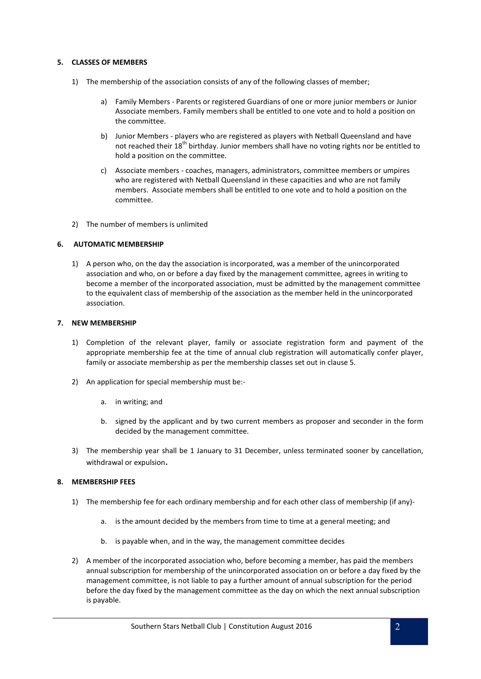### **5. CLASSES OF MEMBERS**

- 1) The membership of the association consists of any of the following classes of member;
	- a) Family Members Parents or registered Guardians of one or more junior members or Junior Associate members. Family members shall be entitled to one vote and to hold a position on the committee.
	- b) Junior Members players who are registered as players with Netball Queensland and have not reached their 18<sup>th</sup> birthday. Junior members shall have no voting rights nor be entitled to hold a position on the committee.
	- c) Associate members coaches, managers, administrators, committee members or umpires who are registered with Netball Queensland in these capacities and who are not family members. Associate members shall be entitled to one vote and to hold a position on the committee.
- 2) The number of members is unlimited

# **6. AUTOMATIC MEMBERSHIP**

1) A person who, on the day the association is incorporated, was a member of the unincorporated association and who, on or before a day fixed by the management committee, agrees in writing to become a member of the incorporated association, must be admitted by the management committee to the equivalent class of membership of the association as the member held in the unincorporated association.

# **7. NEW MEMBERSHIP**

- 1) Completion of the relevant player, family or associate registration form and payment of the appropriate membership fee at the time of annual club registration will automatically confer player, family or associate membership as per the membership classes set out in clause 5.
- 2) An application for special membership must be:
	- a. in writing; and
	- b. signed by the applicant and by two current members as proposer and seconder in the form decided by the management committee.
- 3) The membership year shall be 1 January to 31 December, unless terminated sooner by cancellation, withdrawal or expulsion.

# **8. MEMBERSHIP FEES**

- 1) The membership fee for each ordinary membership and for each other class of membership (if any)
	- a. is the amount decided by the members from time to time at a general meeting; and
	- b. is payable when, and in the way, the management committee decides
- 2) A member of the incorporated association who, before becoming a member, has paid the members annual subscription for membership of the unincorporated association on or before a day fixed by the management committee, is not liable to pay a further amount of annual subscription for the period before the day fixed by the management committee as the day on which the next annual subscription is payable.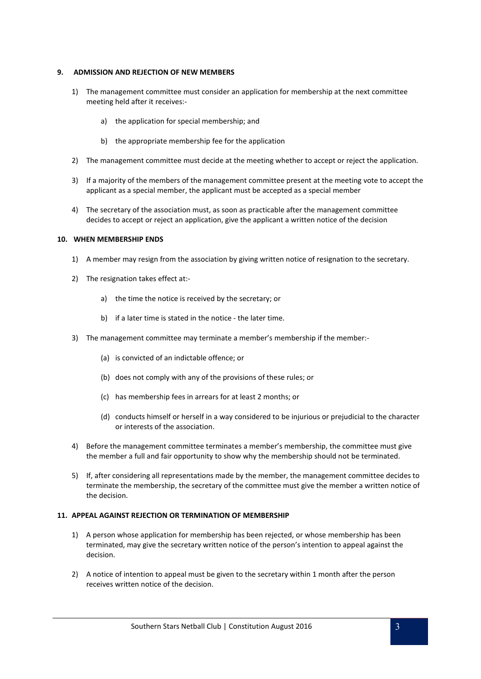### **9. ADMISSION AND REJECTION OF NEW MEMBERS**

- 1) The management committee must consider an application for membership at the next committee meeting held after it receives:
	- a) the application for special membership; and
	- b) the appropriate membership fee for the application
- 2) The management committee must decide at the meeting whether to accept or reject the application.
- 3) If a majority of the members of the management committee present at the meeting vote to accept the applicant as a special member, the applicant must be accepted as a special member
- 4) The secretary of the association must, as soon as practicable after the management committee decides to accept or reject an application, give the applicant a written notice of the decision

### **10. WHEN MEMBERSHIP ENDS**

- 1) A member may resign from the association by giving written notice of resignation to the secretary.
- 2) The resignation takes effect at:
	- a) the time the notice is received by the secretary; or
	- b) if a later time is stated in the notice the later time.
- 3) The management committee may terminate a member's membership if the member:-
	- (a) is convicted of an indictable offence; or
	- (b) does not comply with any of the provisions of these rules; or
	- (c) has membership fees in arrears for at least 2 months; or
	- (d) conducts himself or herself in a way considered to be injurious or prejudicial to the character or interests of the association.
- 4) Before the management committee terminates a member's membership, the committee must give the member a full and fair opportunity to show why the membership should not be terminated.
- 5) If, after considering all representations made by the member, the management committee decides to terminate the membership, the secretary of the committee must give the member a written notice of the decision.

### **11. APPEAL AGAINST REJECTION OR TERMINATION OF MEMBERSHIP**

- 1) A person whose application for membership has been rejected, or whose membership has been terminated, may give the secretary written notice of the person's intention to appeal against the decision.
- 2) A notice of intention to appeal must be given to the secretary within 1 month after the person receives written notice of the decision.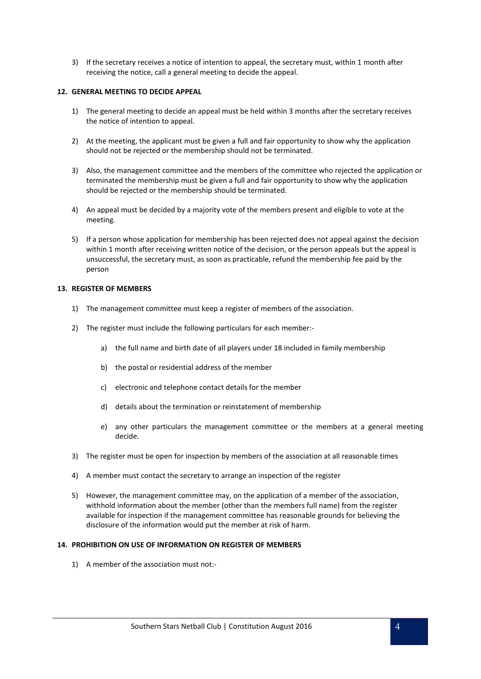3) If the secretary receives a notice of intention to appeal, the secretary must, within 1 month after receiving the notice, call a general meeting to decide the appeal.

# **12. GENERAL MEETING TO DECIDE APPEAL**

- 1) The general meeting to decide an appeal must be held within 3 months after the secretary receives the notice of intention to appeal.
- 2) At the meeting, the applicant must be given a full and fair opportunity to show why the application should not be rejected or the membership should not be terminated.
- 3) Also, the management committee and the members of the committee who rejected the application or terminated the membership must be given a full and fair opportunity to show why the application should be rejected or the membership should be terminated.
- 4) An appeal must be decided by a majority vote of the members present and eligible to vote at the meeting.
- 5) If a person whose application for membership has been rejected does not appeal against the decision within 1 month after receiving written notice of the decision, or the person appeals but the appeal is unsuccessful, the secretary must, as soon as practicable, refund the membership fee paid by the person

### **13. REGISTER OF MEMBERS**

- 1) The management committee must keep a register of members of the association.
- 2) The register must include the following particulars for each member:
	- a) the full name and birth date of all players under 18 included in family membership
	- b) the postal or residential address of the member
	- c) electronic and telephone contact details for the member
	- d) details about the termination or reinstatement of membership
	- e) any other particulars the management committee or the members at a general meeting decide.
- 3) The register must be open for inspection by members of the association at all reasonable times
- 4) A member must contact the secretary to arrange an inspection of the register
- 5) However, the management committee may, on the application of a member of the association, withhold information about the member (other than the members full name) from the register available for inspection if the management committee has reasonable grounds for believing the disclosure of the information would put the member at risk of harm.

### **14. PROHIBITION ON USE OF INFORMATION ON REGISTER OF MEMBERS**

1) A member of the association must not:-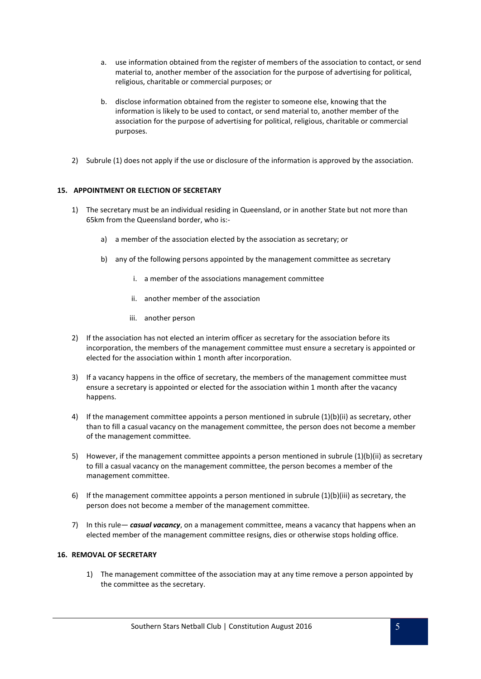- a. use information obtained from the register of members of the association to contact, or send material to, another member of the association for the purpose of advertising for political, religious, charitable or commercial purposes; or
- b. disclose information obtained from the register to someone else, knowing that the information is likely to be used to contact, or send material to, another member of the association for the purpose of advertising for political, religious, charitable or commercial purposes.
- 2) Subrule (1) does not apply if the use or disclosure of the information is approved by the association.

# **15. APPOINTMENT OR ELECTION OF SECRETARY**

- 1) The secretary must be an individual residing in Queensland, or in another State but not more than 65km from the Queensland border, who is:
	- a) a member of the association elected by the association as secretary; or
	- b) any of the following persons appointed by the management committee as secretary
		- i. a member of the associations management committee
		- ii. another member of the association
		- iii. another person
- 2) If the association has not elected an interim officer as secretary for the association before its incorporation, the members of the management committee must ensure a secretary is appointed or elected for the association within 1 month after incorporation.
- 3) If a vacancy happens in the office of secretary, the members of the management committee must ensure a secretary is appointed or elected for the association within 1 month after the vacancy happens.
- 4) If the management committee appoints a person mentioned in subrule (1)(b)(ii) as secretary, other than to fill a casual vacancy on the management committee, the person does not become a member of the management committee.
- 5) However, if the management committee appoints a person mentioned in subrule (1)(b)(ii) as secretary to fill a casual vacancy on the management committee, the person becomes a member of the management committee.
- 6) If the management committee appoints a person mentioned in subrule  $(1)(b)(iii)$  as secretary, the person does not become a member of the management committee.
- 7) In this rule— *casual vacancy*, on a management committee, means a vacancy that happens when an elected member of the management committee resigns, dies or otherwise stops holding office.

# **16. REMOVAL OF SECRETARY**

1) The management committee of the association may at any time remove a person appointed by the committee as the secretary.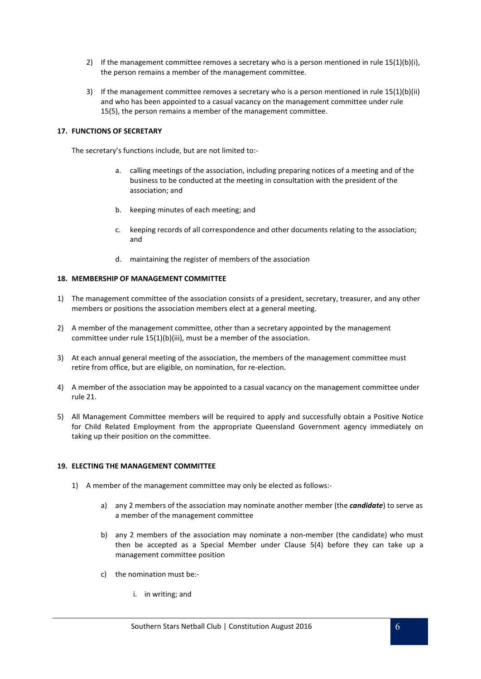- 2) If the management committee removes a secretary who is a person mentioned in rule  $15(1)(b)(i)$ , the person remains a member of the management committee.
- 3) If the management committee removes a secretary who is a person mentioned in rule 15(1)(b)(ii) and who has been appointed to a casual vacancy on the management committee under rule 15(5), the person remains a member of the management committee.

### **17. FUNCTIONS OF SECRETARY**

The secretary's functions include, but are not limited to:-

- a. calling meetings of the association, including preparing notices of a meeting and of the business to be conducted at the meeting in consultation with the president of the association; and
- b. keeping minutes of each meeting; and
- c. keeping records of all correspondence and other documents relating to the association; and
- d. maintaining the register of members of the association

# **18. MEMBERSHIP OF MANAGEMENT COMMITTEE**

- 1) The management committee of the association consists of a president, secretary, treasurer, and any other members or positions the association members elect at a general meeting.
- 2) A member of the management committee, other than a secretary appointed by the management committee under rule 15(1)(b)(iii), must be a member of the association.
- 3) At each annual general meeting of the association, the members of the management committee must retire from office, but are eligible, on nomination, for re-election.
- 4) A member of the association may be appointed to a casual vacancy on the management committee under rule 21.
- 5) All Management Committee members will be required to apply and successfully obtain a Positive Notice for Child Related Employment from the appropriate Queensland Government agency immediately on taking up their position on the committee.

### **19. ELECTING THE MANAGEMENT COMMITTEE**

- 1) A member of the management committee may only be elected as follows:
	- a) any 2 members of the association may nominate another member (the *candidate*) to serve as a member of the management committee
	- b) any 2 members of the association may nominate a non-member (the candidate) who must then be accepted as a Special Member under Clause 5(4) before they can take up a management committee position
	- c) the nomination must be:
		- i. in writing; and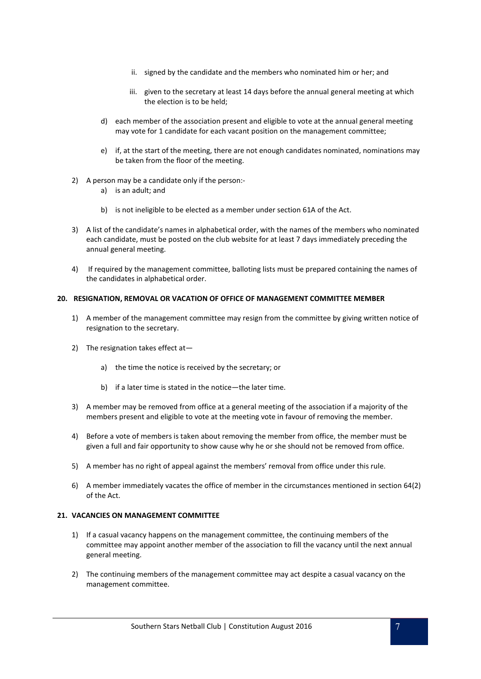- ii. signed by the candidate and the members who nominated him or her; and
- iii. given to the secretary at least 14 days before the annual general meeting at which the election is to be held;
- d) each member of the association present and eligible to vote at the annual general meeting may vote for 1 candidate for each vacant position on the management committee;
- e) if, at the start of the meeting, there are not enough candidates nominated, nominations may be taken from the floor of the meeting.
- 2) A person may be a candidate only if the person:
	- a) is an adult; and
	- b) is not ineligible to be elected as a member under section 61A of the Act.
- 3) A list of the candidate's names in alphabetical order, with the names of the members who nominated each candidate, must be posted on the club website for at least 7 days immediately preceding the annual general meeting.
- 4) If required by the management committee, balloting lists must be prepared containing the names of the candidates in alphabetical order.

### **20. RESIGNATION, REMOVAL OR VACATION OF OFFICE OF MANAGEMENT COMMITTEE MEMBER**

- 1) A member of the management committee may resign from the committee by giving written notice of resignation to the secretary.
- 2) The resignation takes effect at
	- a) the time the notice is received by the secretary; or
	- b) if a later time is stated in the notice—the later time.
- 3) A member may be removed from office at a general meeting of the association if a majority of the members present and eligible to vote at the meeting vote in favour of removing the member.
- 4) Before a vote of members is taken about removing the member from office, the member must be given a full and fair opportunity to show cause why he or she should not be removed from office.
- 5) A member has no right of appeal against the members' removal from office under this rule.
- 6) A member immediately vacates the office of member in the circumstances mentioned in section 64(2) of the Act.

### **21. VACANCIES ON MANAGEMENT COMMITTEE**

- 1) If a casual vacancy happens on the management committee, the continuing members of the committee may appoint another member of the association to fill the vacancy until the next annual general meeting.
- 2) The continuing members of the management committee may act despite a casual vacancy on the management committee.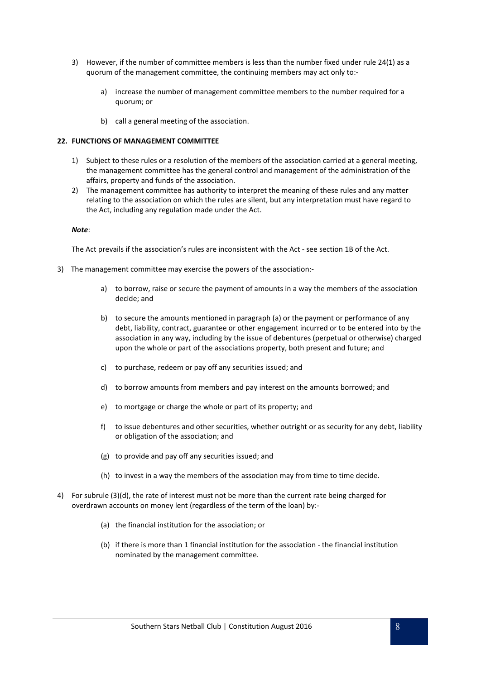- 3) However, if the number of committee members is less than the number fixed under rule 24(1) as a quorum of the management committee, the continuing members may act only to:
	- a) increase the number of management committee members to the number required for a quorum; or
	- b) call a general meeting of the association.

### **22. FUNCTIONS OF MANAGEMENT COMMITTEE**

- 1) Subject to these rules or a resolution of the members of the association carried at a general meeting, the management committee has the general control and management of the administration of the affairs, property and funds of the association.
- 2) The management committee has authority to interpret the meaning of these rules and any matter relating to the association on which the rules are silent, but any interpretation must have regard to the Act, including any regulation made under the Act.

#### *Note*:

The Act prevails if the association's rules are inconsistent with the Act - see section 1B of the Act.

- 3) The management committee may exercise the powers of the association:
	- a) to borrow, raise or secure the payment of amounts in a way the members of the association decide; and
	- b) to secure the amounts mentioned in paragraph (a) or the payment or performance of any debt, liability, contract, guarantee or other engagement incurred or to be entered into by the association in any way, including by the issue of debentures (perpetual or otherwise) charged upon the whole or part of the associations property, both present and future; and
	- c) to purchase, redeem or pay off any securities issued; and
	- d) to borrow amounts from members and pay interest on the amounts borrowed; and
	- e) to mortgage or charge the whole or part of its property; and
	- f) to issue debentures and other securities, whether outright or as security for any debt, liability or obligation of the association; and
	- (g) to provide and pay off any securities issued; and
	- (h) to invest in a way the members of the association may from time to time decide.
- 4) For subrule (3)(d), the rate of interest must not be more than the current rate being charged for overdrawn accounts on money lent (regardless of the term of the loan) by:-
	- (a) the financial institution for the association; or
	- (b) if there is more than 1 financial institution for the association the financial institution nominated by the management committee.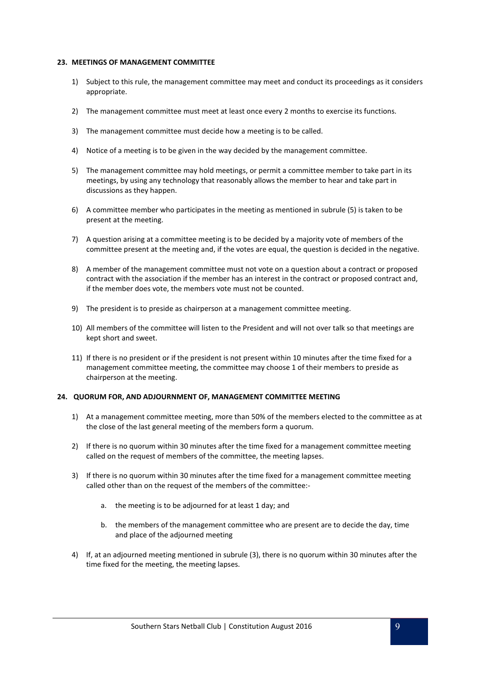#### **23. MEETINGS OF MANAGEMENT COMMITTEE**

- 1) Subject to this rule, the management committee may meet and conduct its proceedings as it considers appropriate.
- 2) The management committee must meet at least once every 2 months to exercise its functions.
- 3) The management committee must decide how a meeting is to be called.
- 4) Notice of a meeting is to be given in the way decided by the management committee.
- 5) The management committee may hold meetings, or permit a committee member to take part in its meetings, by using any technology that reasonably allows the member to hear and take part in discussions as they happen.
- 6) A committee member who participates in the meeting as mentioned in subrule (5) is taken to be present at the meeting.
- 7) A question arising at a committee meeting is to be decided by a majority vote of members of the committee present at the meeting and, if the votes are equal, the question is decided in the negative.
- 8) A member of the management committee must not vote on a question about a contract or proposed contract with the association if the member has an interest in the contract or proposed contract and, if the member does vote, the members vote must not be counted.
- 9) The president is to preside as chairperson at a management committee meeting.
- 10) All members of the committee will listen to the President and will not over talk so that meetings are kept short and sweet.
- 11) If there is no president or if the president is not present within 10 minutes after the time fixed for a management committee meeting, the committee may choose 1 of their members to preside as chairperson at the meeting.

### **24. QUORUM FOR, AND ADJOURNMENT OF, MANAGEMENT COMMITTEE MEETING**

- 1) At a management committee meeting, more than 50% of the members elected to the committee as at the close of the last general meeting of the members form a quorum.
- 2) If there is no quorum within 30 minutes after the time fixed for a management committee meeting called on the request of members of the committee, the meeting lapses.
- 3) If there is no quorum within 30 minutes after the time fixed for a management committee meeting called other than on the request of the members of the committee:
	- a. the meeting is to be adjourned for at least 1 day; and
	- b. the members of the management committee who are present are to decide the day, time and place of the adjourned meeting
- 4) If, at an adjourned meeting mentioned in subrule (3), there is no quorum within 30 minutes after the time fixed for the meeting, the meeting lapses.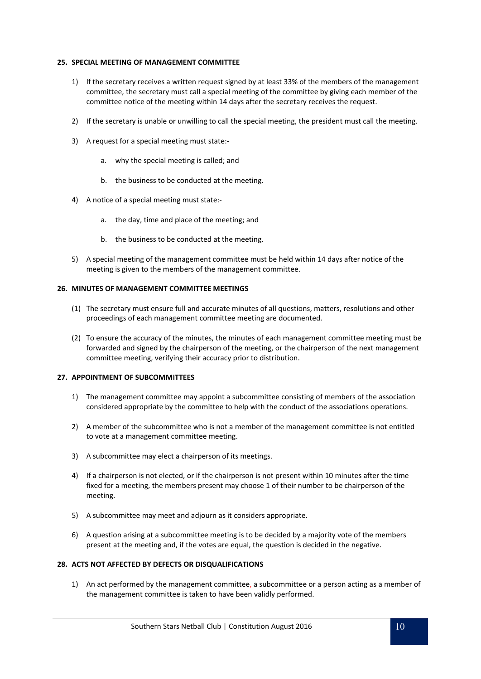### **25. SPECIAL MEETING OF MANAGEMENT COMMITTEE**

- 1) If the secretary receives a written request signed by at least 33% of the members of the management committee, the secretary must call a special meeting of the committee by giving each member of the committee notice of the meeting within 14 days after the secretary receives the request.
- 2) If the secretary is unable or unwilling to call the special meeting, the president must call the meeting.
- 3) A request for a special meeting must state:
	- a. why the special meeting is called; and
	- b. the business to be conducted at the meeting.
- 4) A notice of a special meeting must state:
	- a. the day, time and place of the meeting; and
	- b. the business to be conducted at the meeting.
- 5) A special meeting of the management committee must be held within 14 days after notice of the meeting is given to the members of the management committee.

### **26. MINUTES OF MANAGEMENT COMMITTEE MEETINGS**

- (1) The secretary must ensure full and accurate minutes of all questions, matters, resolutions and other proceedings of each management committee meeting are documented.
- (2) To ensure the accuracy of the minutes, the minutes of each management committee meeting must be forwarded and signed by the chairperson of the meeting, or the chairperson of the next management committee meeting, verifying their accuracy prior to distribution.

#### **27. APPOINTMENT OF SUBCOMMITTEES**

- 1) The management committee may appoint a subcommittee consisting of members of the association considered appropriate by the committee to help with the conduct of the associations operations.
- 2) A member of the subcommittee who is not a member of the management committee is not entitled to vote at a management committee meeting.
- 3) A subcommittee may elect a chairperson of its meetings.
- 4) If a chairperson is not elected, or if the chairperson is not present within 10 minutes after the time fixed for a meeting, the members present may choose 1 of their number to be chairperson of the meeting.
- 5) A subcommittee may meet and adjourn as it considers appropriate.
- 6) A question arising at a subcommittee meeting is to be decided by a majority vote of the members present at the meeting and, if the votes are equal, the question is decided in the negative.

### **28. ACTS NOT AFFECTED BY DEFECTS OR DISQUALIFICATIONS**

1) An act performed by the management committee, a subcommittee or a person acting as a member of the management committee is taken to have been validly performed.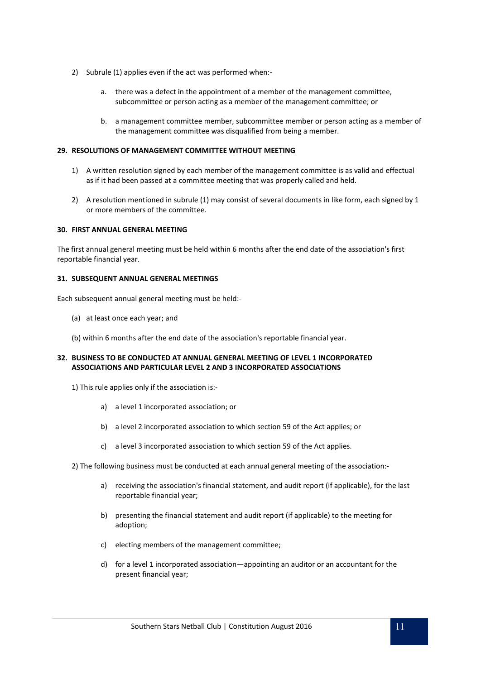- 2) Subrule (1) applies even if the act was performed when:
	- a. there was a defect in the appointment of a member of the management committee, subcommittee or person acting as a member of the management committee; or
	- b. a management committee member, subcommittee member or person acting as a member of the management committee was disqualified from being a member.

# **29. RESOLUTIONS OF MANAGEMENT COMMITTEE WITHOUT MEETING**

- 1) A written resolution signed by each member of the management committee is as valid and effectual as if it had been passed at a committee meeting that was properly called and held.
- 2) A resolution mentioned in subrule (1) may consist of several documents in like form, each signed by 1 or more members of the committee.

### **30. FIRST ANNUAL GENERAL MEETING**

The first annual general meeting must be held within 6 months after the end date of the association's first reportable financial year.

### **31. SUBSEQUENT ANNUAL GENERAL MEETINGS**

Each subsequent annual general meeting must be held:-

(a) at least once each year; and

(b) within 6 months after the end date of the association's reportable financial year.

### **32. BUSINESS TO BE CONDUCTED AT ANNUAL GENERAL MEETING OF LEVEL 1 INCORPORATED ASSOCIATIONS AND PARTICULAR LEVEL 2 AND 3 INCORPORATED ASSOCIATIONS**

- 1) This rule applies only if the association is:
	- a) a level 1 incorporated association; or
	- b) a level 2 incorporated association to which section 59 of the Act applies; or
	- c) a level 3 incorporated association to which section 59 of the Act applies.
- 2) The following business must be conducted at each annual general meeting of the association:
	- a) receiving the association's financial statement, and audit report (if applicable), for the last reportable financial year;
	- b) presenting the financial statement and audit report (if applicable) to the meeting for adoption;
	- c) electing members of the management committee;
	- d) for a level 1 incorporated association—appointing an auditor or an accountant for the present financial year;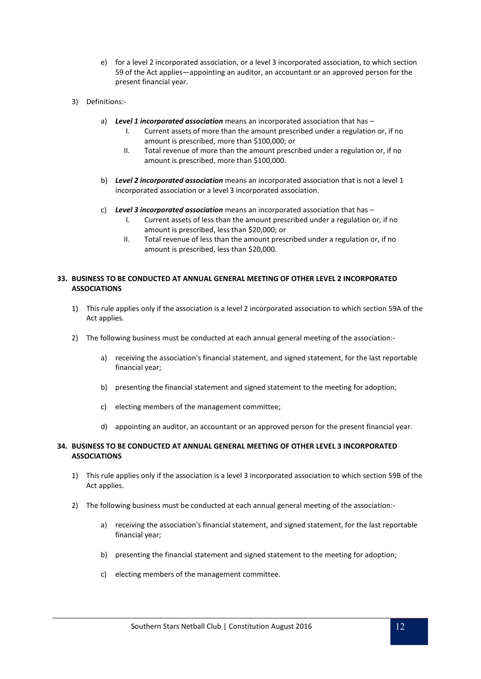- e) for a level 2 incorporated association, or a level 3 incorporated association, to which section 59 of the Act applies—appointing an auditor, an accountant or an approved person for the present financial year.
- 3) Definitions:
	- a) *Level 1 incorporated association* means an incorporated association that has
		- I. Current assets of more than the amount prescribed under a regulation or, if no amount is prescribed, more than \$100,000; or
		- II. Total revenue of more than the amount prescribed under a regulation or, if no amount is prescribed, more than \$100,000.
	- b) *Level 2 incorporated association* means an incorporated association that is not a level 1 incorporated association or a level 3 incorporated association.
	- c) *Level 3 incorporated association* means an incorporated association that has
		- I. Current assets of less than the amount prescribed under a regulation or, if no amount is prescribed, less than \$20,000; or
		- II. Total revenue of less than the amount prescribed under a regulation or, if no amount is prescribed, less than \$20,000.

# **33. BUSINESS TO BE CONDUCTED AT ANNUAL GENERAL MEETING OF OTHER LEVEL 2 INCORPORATED ASSOCIATIONS**

- 1) This rule applies only if the association is a level 2 incorporated association to which section 59A of the Act applies.
- 2) The following business must be conducted at each annual general meeting of the association:
	- a) receiving the association's financial statement, and signed statement, for the last reportable financial year;
	- b) presenting the financial statement and signed statement to the meeting for adoption;
	- c) electing members of the management committee;
	- d) appointing an auditor, an accountant or an approved person for the present financial year.

# **34. BUSINESS TO BE CONDUCTED AT ANNUAL GENERAL MEETING OF OTHER LEVEL 3 INCORPORATED ASSOCIATIONS**

- 1) This rule applies only if the association is a level 3 incorporated association to which section 59B of the Act applies.
- 2) The following business must be conducted at each annual general meeting of the association:
	- a) receiving the association's financial statement, and signed statement, for the last reportable financial year;
	- b) presenting the financial statement and signed statement to the meeting for adoption;
	- c) electing members of the management committee.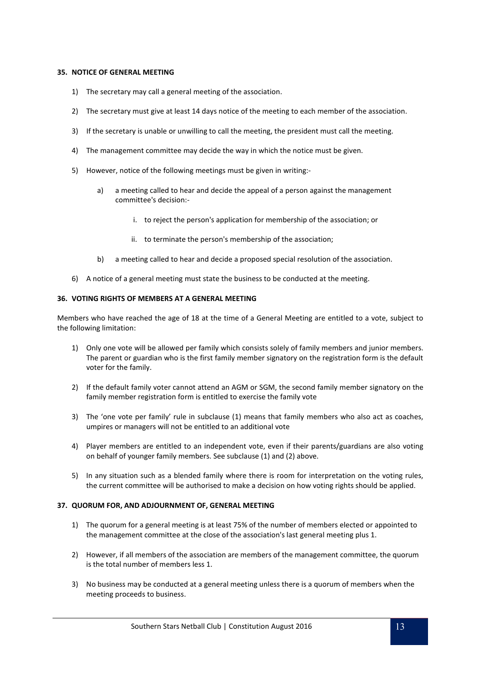### **35. NOTICE OF GENERAL MEETING**

- 1) The secretary may call a general meeting of the association.
- 2) The secretary must give at least 14 days notice of the meeting to each member of the association.
- 3) If the secretary is unable or unwilling to call the meeting, the president must call the meeting.
- 4) The management committee may decide the way in which the notice must be given.
- 5) However, notice of the following meetings must be given in writing:
	- a) a meeting called to hear and decide the appeal of a person against the management committee's decision:
		- i. to reject the person's application for membership of the association; or
		- ii. to terminate the person's membership of the association;
	- b) a meeting called to hear and decide a proposed special resolution of the association.
- 6) A notice of a general meeting must state the business to be conducted at the meeting.

### **36. VOTING RIGHTS OF MEMBERS AT A GENERAL MEETING**

Members who have reached the age of 18 at the time of a General Meeting are entitled to a vote, subject to the following limitation:

- 1) Only one vote will be allowed per family which consists solely of family members and junior members. The parent or guardian who is the first family member signatory on the registration form is the default voter for the family.
- 2) If the default family voter cannot attend an AGM or SGM, the second family member signatory on the family member registration form is entitled to exercise the family vote
- 3) The 'one vote per family' rule in subclause (1) means that family members who also act as coaches, umpires or managers will not be entitled to an additional vote
- 4) Player members are entitled to an independent vote, even if their parents/guardians are also voting on behalf of younger family members. See subclause (1) and (2) above.
- 5) In any situation such as a blended family where there is room for interpretation on the voting rules, the current committee will be authorised to make a decision on how voting rights should be applied.

### **37. QUORUM FOR, AND ADJOURNMENT OF, GENERAL MEETING**

- 1) The quorum for a general meeting is at least 75% of the number of members elected or appointed to the management committee at the close of the association's last general meeting plus 1.
- 2) However, if all members of the association are members of the management committee, the quorum is the total number of members less 1.
- 3) No business may be conducted at a general meeting unless there is a quorum of members when the meeting proceeds to business.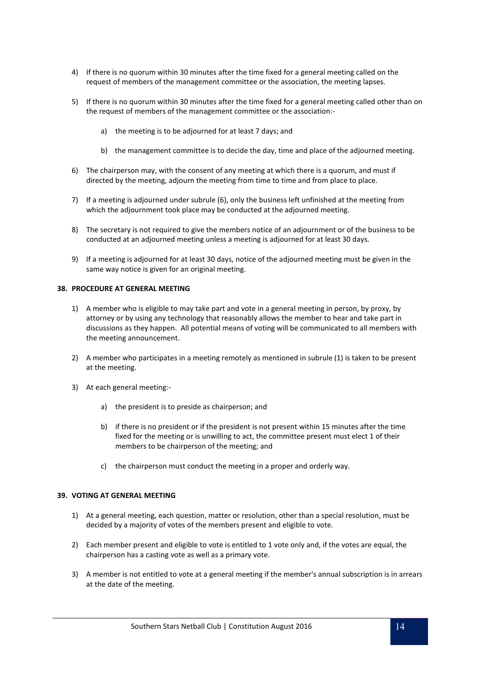- 4) If there is no quorum within 30 minutes after the time fixed for a general meeting called on the request of members of the management committee or the association, the meeting lapses.
- 5) If there is no quorum within 30 minutes after the time fixed for a general meeting called other than on the request of members of the management committee or the association:
	- a) the meeting is to be adjourned for at least 7 days; and
	- b) the management committee is to decide the day, time and place of the adjourned meeting.
- 6) The chairperson may, with the consent of any meeting at which there is a quorum, and must if directed by the meeting, adjourn the meeting from time to time and from place to place.
- 7) If a meeting is adjourned under subrule (6), only the business left unfinished at the meeting from which the adjournment took place may be conducted at the adjourned meeting.
- 8) The secretary is not required to give the members notice of an adjournment or of the business to be conducted at an adjourned meeting unless a meeting is adjourned for at least 30 days.
- 9) If a meeting is adjourned for at least 30 days, notice of the adjourned meeting must be given in the same way notice is given for an original meeting.

### **38. PROCEDURE AT GENERAL MEETING**

- 1) A member who is eligible to may take part and vote in a general meeting in person, by proxy, by attorney or by using any technology that reasonably allows the member to hear and take part in discussions as they happen. All potential means of voting will be communicated to all members with the meeting announcement.
- 2) A member who participates in a meeting remotely as mentioned in subrule (1) is taken to be present at the meeting.
- 3) At each general meeting:
	- a) the president is to preside as chairperson; and
	- b) if there is no president or if the president is not present within 15 minutes after the time fixed for the meeting or is unwilling to act, the committee present must elect 1 of their members to be chairperson of the meeting; and
	- c) the chairperson must conduct the meeting in a proper and orderly way.

### **39. VOTING AT GENERAL MEETING**

- 1) At a general meeting, each question, matter or resolution, other than a special resolution, must be decided by a majority of votes of the members present and eligible to vote.
- 2) Each member present and eligible to vote is entitled to 1 vote only and, if the votes are equal, the chairperson has a casting vote as well as a primary vote.
- 3) A member is not entitled to vote at a general meeting if the member's annual subscription is in arrears at the date of the meeting.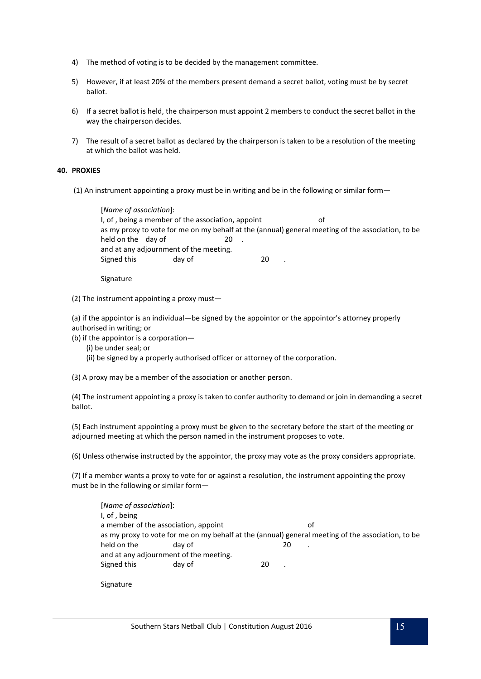- 4) The method of voting is to be decided by the management committee.
- 5) However, if at least 20% of the members present demand a secret ballot, voting must be by secret ballot.
- 6) If a secret ballot is held, the chairperson must appoint 2 members to conduct the secret ballot in the way the chairperson decides.
- 7) The result of a secret ballot as declared by the chairperson is taken to be a resolution of the meeting at which the ballot was held.

### **40. PROXIES**

(1) An instrument appointing a proxy must be in writing and be in the following or similar form—

[*Name of association*]: I, of, being a member of the association, appoint of as my proxy to vote for me on my behalf at the (annual) general meeting of the association, to be held on the day of 20. and at any adjournment of the meeting. Signed this day of 20

Signature

(2) The instrument appointing a proxy must—

(a) if the appointor is an individual—be signed by the appointor or the appointor's attorney properly authorised in writing; or

(b) if the appointor is a corporation—

- (i) be under seal; or
- (ii) be signed by a properly authorised officer or attorney of the corporation.

(3) A proxy may be a member of the association or another person.

(4) The instrument appointing a proxy is taken to confer authority to demand or join in demanding a secret ballot.

(5) Each instrument appointing a proxy must be given to the secretary before the start of the meeting or adjourned meeting at which the person named in the instrument proposes to vote.

(6) Unless otherwise instructed by the appointor, the proxy may vote as the proxy considers appropriate.

(7) If a member wants a proxy to vote for or against a resolution, the instrument appointing the proxy must be in the following or similar form—

[*Name of association*]: I, of , being a member of the association, appoint of as my proxy to vote for me on my behalf at the (annual) general meeting of the association, to be held on the day of 20 and at any adjournment of the meeting. Signed this day of 20

Signature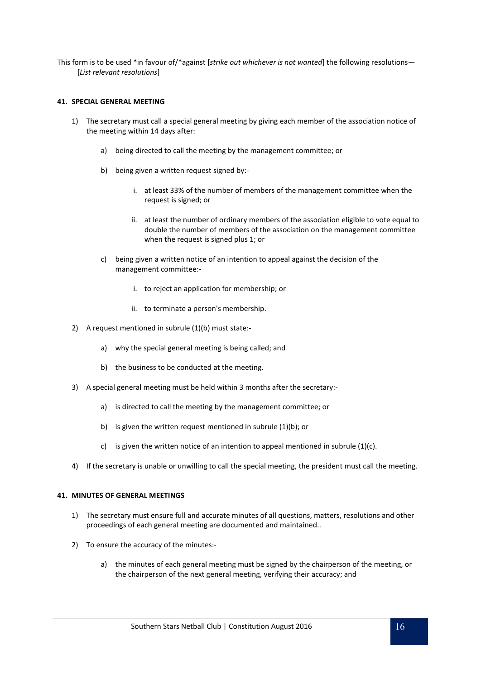This form is to be used \*in favour of/\*against [*strike out whichever is not wanted*] the following resolutions— [*List relevant resolutions*]

### **41. SPECIAL GENERAL MEETING**

- 1) The secretary must call a special general meeting by giving each member of the association notice of the meeting within 14 days after:
	- a) being directed to call the meeting by the management committee; or
	- b) being given a written request signed by:
		- i. at least 33% of the number of members of the management committee when the request is signed; or
		- ii. at least the number of ordinary members of the association eligible to vote equal to double the number of members of the association on the management committee when the request is signed plus 1; or
	- c) being given a written notice of an intention to appeal against the decision of the management committee:
		- i. to reject an application for membership; or
		- ii. to terminate a person's membership.
- 2) A request mentioned in subrule (1)(b) must state:
	- a) why the special general meeting is being called; and
	- b) the business to be conducted at the meeting.
- 3) A special general meeting must be held within 3 months after the secretary:
	- a) is directed to call the meeting by the management committee; or
	- b) is given the written request mentioned in subrule (1)(b); or
	- c) is given the written notice of an intention to appeal mentioned in subrule  $(1)(c)$ .
- 4) If the secretary is unable or unwilling to call the special meeting, the president must call the meeting.

### **41. MINUTES OF GENERAL MEETINGS**

- 1) The secretary must ensure full and accurate minutes of all questions, matters, resolutions and other proceedings of each general meeting are documented and maintained..
- 2) To ensure the accuracy of the minutes:
	- a) the minutes of each general meeting must be signed by the chairperson of the meeting, or the chairperson of the next general meeting, verifying their accuracy; and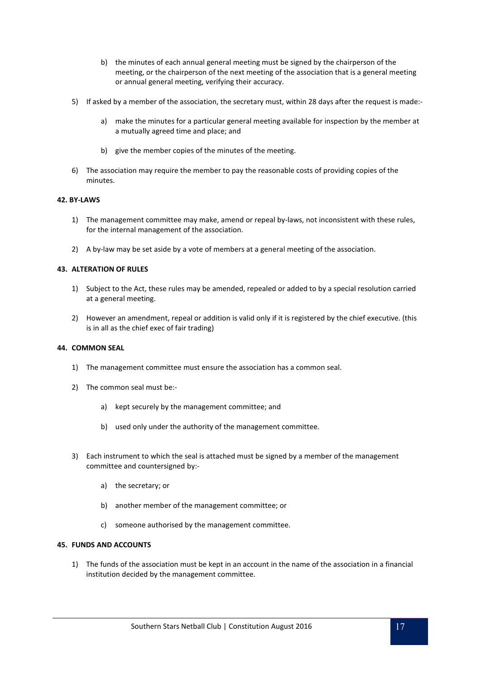- b) the minutes of each annual general meeting must be signed by the chairperson of the meeting, or the chairperson of the next meeting of the association that is a general meeting or annual general meeting, verifying their accuracy.
- 5) If asked by a member of the association, the secretary must, within 28 days after the request is made:
	- a) make the minutes for a particular general meeting available for inspection by the member at a mutually agreed time and place; and
	- b) give the member copies of the minutes of the meeting.
- 6) The association may require the member to pay the reasonable costs of providing copies of the minutes.

# **42. BY-LAWS**

- 1) The management committee may make, amend or repeal by-laws, not inconsistent with these rules, for the internal management of the association.
- 2) A by-law may be set aside by a vote of members at a general meeting of the association.

# **43. ALTERATION OF RULES**

- 1) Subject to the Act, these rules may be amended, repealed or added to by a special resolution carried at a general meeting.
- 2) However an amendment, repeal or addition is valid only if it is registered by the chief executive. (this is in all as the chief exec of fair trading)

### **44. COMMON SEAL**

- 1) The management committee must ensure the association has a common seal.
- 2) The common seal must be:
	- a) kept securely by the management committee; and
	- b) used only under the authority of the management committee.
- 3) Each instrument to which the seal is attached must be signed by a member of the management committee and countersigned by:
	- a) the secretary; or
	- b) another member of the management committee; or
	- c) someone authorised by the management committee.

# **45. FUNDS AND ACCOUNTS**

1) The funds of the association must be kept in an account in the name of the association in a financial institution decided by the management committee.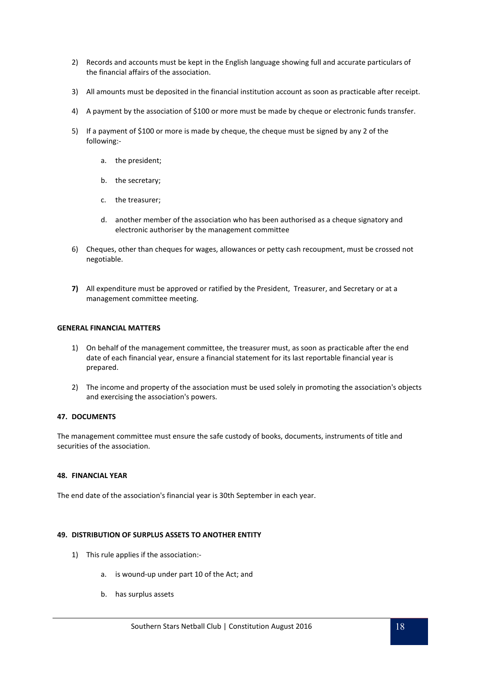- 2) Records and accounts must be kept in the English language showing full and accurate particulars of the financial affairs of the association.
- 3) All amounts must be deposited in the financial institution account as soon as practicable after receipt.
- 4) A payment by the association of \$100 or more must be made by cheque or electronic funds transfer.
- 5) If a payment of \$100 or more is made by cheque, the cheque must be signed by any 2 of the following:
	- a. the president;
	- b. the secretary;
	- c. the treasurer;
	- d. another member of the association who has been authorised as a cheque signatory and electronic authoriser by the management committee
- 6) Cheques, other than cheques for wages, allowances or petty cash recoupment, must be crossed not negotiable.
- **7)** All expenditure must be approved or ratified by the President, Treasurer, and Secretary or at a management committee meeting.

### **GENERAL FINANCIAL MATTERS**

- 1) On behalf of the management committee, the treasurer must, as soon as practicable after the end date of each financial year, ensure a financial statement for its last reportable financial year is prepared.
- 2) The income and property of the association must be used solely in promoting the association's objects and exercising the association's powers.

### **47. DOCUMENTS**

The management committee must ensure the safe custody of books, documents, instruments of title and securities of the association.

### **48. FINANCIAL YEAR**

The end date of the association's financial year is 30th September in each year.

# **49. DISTRIBUTION OF SURPLUS ASSETS TO ANOTHER ENTITY**

- 1) This rule applies if the association:
	- a. is wound-up under part 10 of the Act; and
	- b. has surplus assets